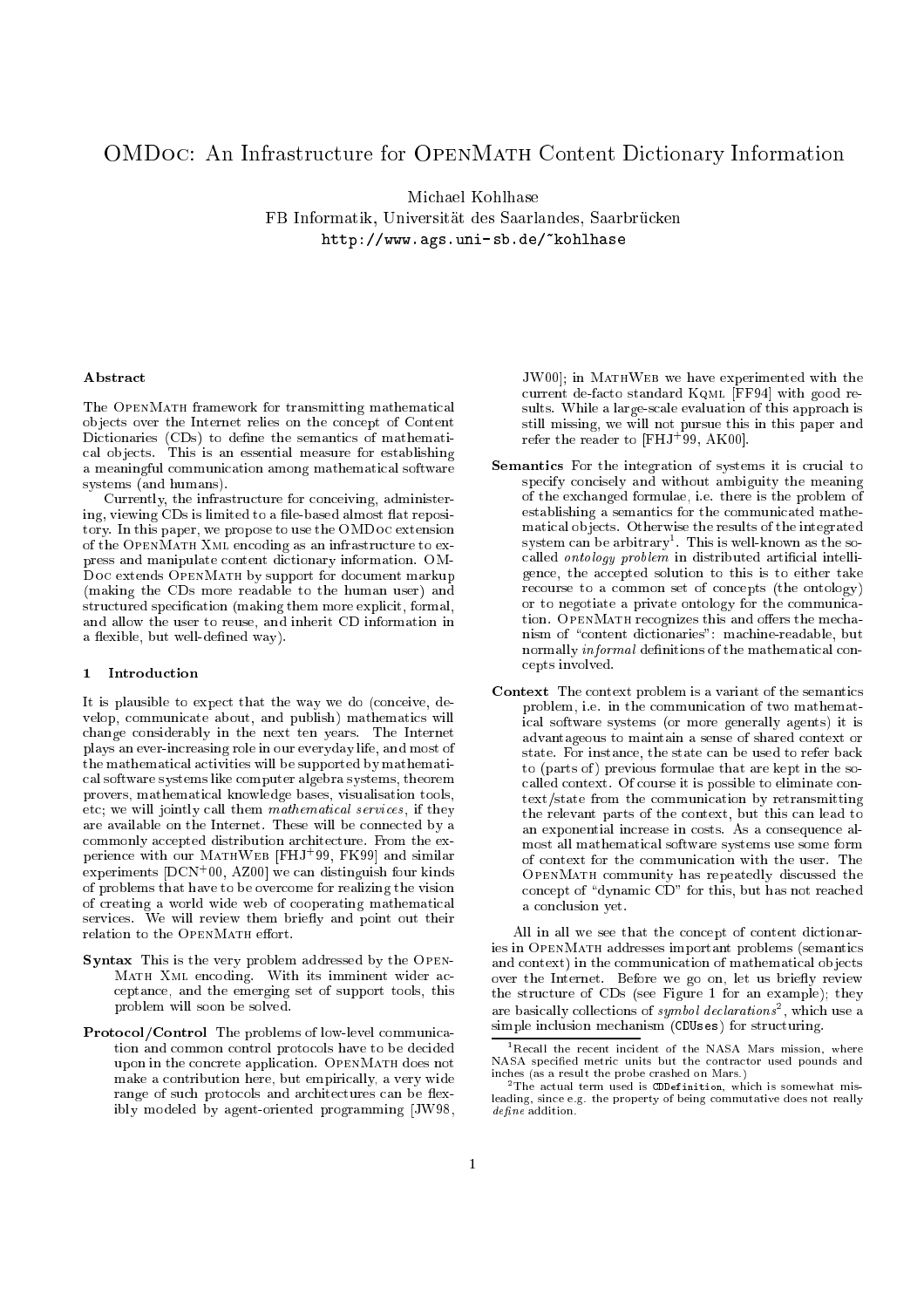# OMDOC: An Infrastructure for OPENMATH Content Dictionary Information

FB Informatik, Universitat des Saarlandes, Saarbru
ken http://www.ags.uni-sb.de/~kohlhase

### Abstra
t

The OPENMATH framework for transmitting mathematical ob je
ts over the Internet relies on the on
ept of Content Dictionaries (CDs) to define the semantics of mathematial ob je
ts. This is an essential measure for establishing a meaningful ommuni
ation among mathemati
al software systems (and humans).

Currently, the infrastructure for conceiving, administering, viewing CDs is limited to a file-based almost flat repository. In this paper, we propose to use the OMDo extension of the OPENMATH XML encoding as an infrastructure to express and manipulate ontent di
tionary information. OMdo ument markup and under the contract of the contract of the contract of the contract of the contract of the contract of the contract of the contract of the contract of the contract of the contract of the contract of the (making the CDs more readable to the human user) and structured specification (making them more explicit, formal, and allow the user to reuse, and inherit CD information in a flexible, but well-defined way).

### 1 Introdu
tion

It is plausible to expect that the way we do (conceive, develop, ommuni
ate about, and publish) mathemati
s will hange onsiderably in the next ten years. The Internet plays an ever-in
reasing role in our everyday life, and most of the mathemati
al a
tivities will be supported by mathemati al software systems like omputer algebra systems, theorem provers, mathemati
al knowledge bases, visualisation tools, etc; we will jointly call them mathematical services, if they are available on the Internet. These will be connected by a commonly accepted distribution architecture. From the experience with our MATHWEB [FHJ<sup>+</sup>99, FK99] and similar experiments  $[DCN^+00, AZ00]$  we can distinguish four kinds of problems that have to be over
ome for realizing the vision of creating a world wide web of cooperating mathematical services. We will review them briefly and point out their relation to the OPENMATH effort.

- Syntax This is the very problem addressed by the Open-Math Xml en
oding. With its imminent wider a
 eptan
e, and the emerging set of support tools, this problem will soon be solved.
- Protocol/Control The problems of low-level communication and ommon ontrol proto
ols have to be de
ided upon in the on
rete appli
ation. OpenMath does not make a ontribution here, but empiri
ally, a very wide range of such protocols and architectures can be flexibly modeled by agent-oriented programming [JW98,

 $JW00$ ; in MATHWEB we have experimented with the current de-facto standard KQML [FF94] with good results. While a large-scale evaluation of this approach is still missing, we will not pursue this in this paper and refer the reader to  $[FHJ^+99, AK00].$ 

- Semantics For the integration of systems it is crucial to specify concisely and without ambiguity the meaning of the ex
hanged formulae, i.e. there is the problem of establishing a semantics for the communicated mathemati
al ob je
ts. Otherwise the results of the integrated  $\,$  system can be arbitrary $^1$  . This is well-known as the socalled *ontology problem* in distributed artificial intelligence, the accepted solution to this is to either take recourse to a common set of concepts (the ontology) or to negotiate a private ontology for the ommuni
ation. OPENMATH recognizes this and offers the mechanism of "content dictionaries": machine-readable, but normally *informal* definitions of the mathematical conepts involved.
- Context The context problem is a variant of the semantics problem, i.e. in the communication of two mathemati
al software systems (or more generally agents) it is advantageous to maintain a sense of shared ontext or state. For instance, the state can be used to refer back to (parts of) previous formulae that are kept in the socalled context. Of course it is possible to eliminate context/state from the ommuni
ation by retransmitting the relevant parts of the ontext, but this an lead to an exponential in
rease in osts. As a onsequen
e almost all mathemati
al software systems use some form of ontext for the ommuni
ation with the user. The of mathematic international product the repeated of the contract international contract of the contract of the concept of "dynamic CD" for this, but has not reached a on
lusion yet.

All in all we see that the concept of content dictionaries in OPENMATH addresses important problems (semantics and context) in the communication of mathematical objects over the Internet. Before we go on, let us briefly review the structure of CDs (see Figure 1 for an example); they are basically collections of *symbol declarations*<sup>2</sup>, which use a simple inclusion mechanism (CDUses) for structuring.

<sup>&</sup>quot;Recall the recent incident of the NASA Mars mission, where NASA specified metric units but the contractor used pounds and inches (as a result the probe crashed on Mars.)

The actual term used is CDDefinition, which is somewhat misleading, since e.g. the property of being commutative does not really  $define$  addition.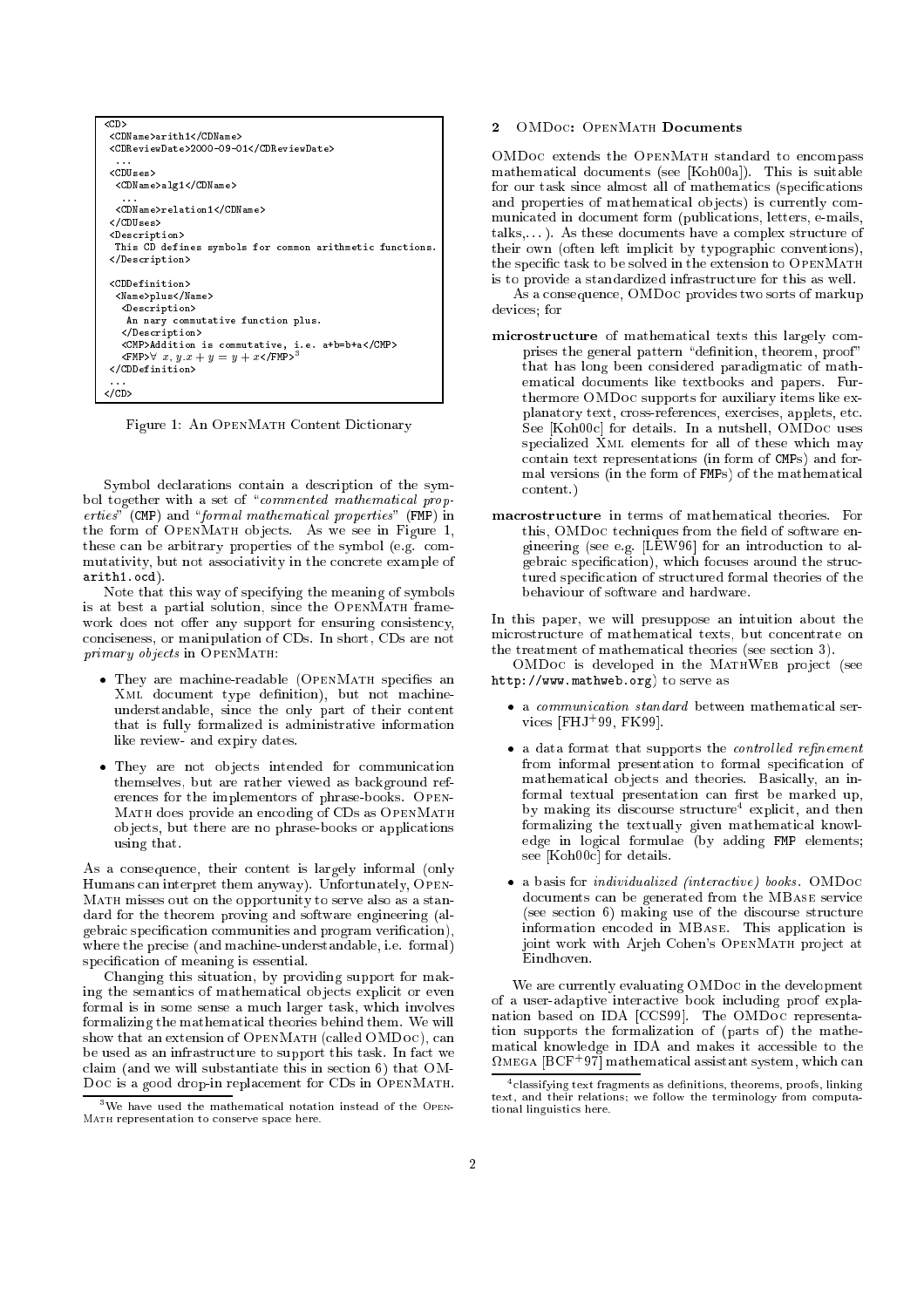

Figure 1: An OPENMATH Content Dictionary

Symbol declarations contain a description of the symbol together with a set of "commented mathematical properties" (CMP) and "formal mathematical properties" (FMP) in the form of OPENMATH objects. As we see in Figure 1, these can be arbitrary properties of the symbol (e.g. commutativity, but not associativity in the concrete example of  $arith1$   $ocd)$ 

Note that this way of specifying the meaning of symbols is at best a partial solution, since the OPENMATH framework does not offer any support for ensuring consistency, conciseness, or manipulation of CDs. In short, CDs are not *primary objects* in OPENMATH:

- They are machine-readable (OPENMATH specifies an XML document type definition), but not machineunderstandable, since the only part of their content that is fully formalized is administrative information like review- and expiry dates.
- . They are not objects intended for communication themselves, but are rather viewed as background references for the implementors of phrase-books. OPEN-MATH does provide an encoding of CDs as OPENMATH objects, but there are no phrase-books or applications using that.

As a consequence, their content is largely informal (only Humans can interpret them anyway). Unfortunately, OPEN-MATH misses out on the opportunity to serve also as a standard for the theorem proving and software engineering (algebraic specification communities and program verification), where the precise (and machine-understandable, i.e. formal) specification of meaning is essential.

Changing this situation, by providing support for making the semantics of mathematical objects explicit or even formal is in some sense a much larger task, which involves formalizing the mathematical theories behind them. We will show that an extension of OPENMATH (called OMDoc), can be used as an infrastructure to support this task. In fact we claim (and we will substantiate this in section 6) that OM-Doc is a good drop-in replacement for CDs in OPENMATH.

#### $\overline{2}$ OMDOC: OPENMATH Documents

OMDoc extends the OPENMATH standard to encompass mathematical documents (see [Koh00a]). This is suitable for our task since almost all of mathematics (specifications and properties of mathematical objects) is currently communicated in document form (publications, letters, e-mails,  $talks,...).$  As these documents have a complex structure of their own (often left implicit by typographic conventions). the specific task to be solved in the extension to OPENMATH is to provide a standardized infrastructure for this as well.

As a consequence, OMDoc provides two sorts of markup devices: for

- microstructure of mathematical texts this largely comprises the general pattern "definition, theorem, proof" that has long been considered paradigmatic of mathematical documents like textbooks and papers. Furthermore OMDoc supports for auxiliary items like explanatory text, cross-references, exercises, applets, etc. See [Koh00c] for details. In a nutshell, OMDoc uses specialized XML elements for all of these which may contain text representations (in form of CMPs) and formal versions (in the form of FMPs) of the mathematical content.)
- macrostructure in terms of mathematical theories. For this, OMDoc techniques from the field of software engineering (see e.g. [LEW96] for an introduction to algebraic specification), which focuses around the structured specification of structured formal theories of the behaviour of software and hardware.

In this paper, we will presuppose an intuition about the microstructure of mathematical texts, but concentrate on the treatment of mathematical theories (see section 3).

OMDoc is developed in the MATHWEB project (see http://www.mathweb.org) to serve as

- · a communication standard between mathematical services  $[FHJ<sup>+</sup>99, FK99]$ .
- a data format that supports the controlled refinement from informal presentation to formal specification of mathematical objects and theories. Basically, an informal textual presentation can first be marked up. by making its discourse structure<sup>4</sup> explicit, and then formalizing the textually given mathematical knowledge in logical formulae (by adding FMP elements; see [Koh00c] for details.
- $\bullet$  a basis for *individualized (interactive)* books. OMDoc documents can be generated from the MBASE service (see section 6) making use of the discourse structure information encoded in MBASE. This application is joint work with Arjeh Cohen's OPENMATH project at Eindhoven.

We are currently evaluating OMDoc in the development of a user-adaptive interactive book including proof explanation based on IDA [CCS99]. The OMDoc representation supports the formalization of (parts of) the mathematical knowledge in IDA and makes it accessible to the  $\Omega$ MEGA [BCF<sup>+</sup>97] mathematical assistant system, which can

 $3$ We have used the mathematical notation instead of the OPEN-MATH representation to conserve space here.

<sup>&</sup>lt;sup>4</sup>classifying text fragments as definitions, theorems, proofs, linking text, and their relations; we follow the terminology from computa tional linguistics here.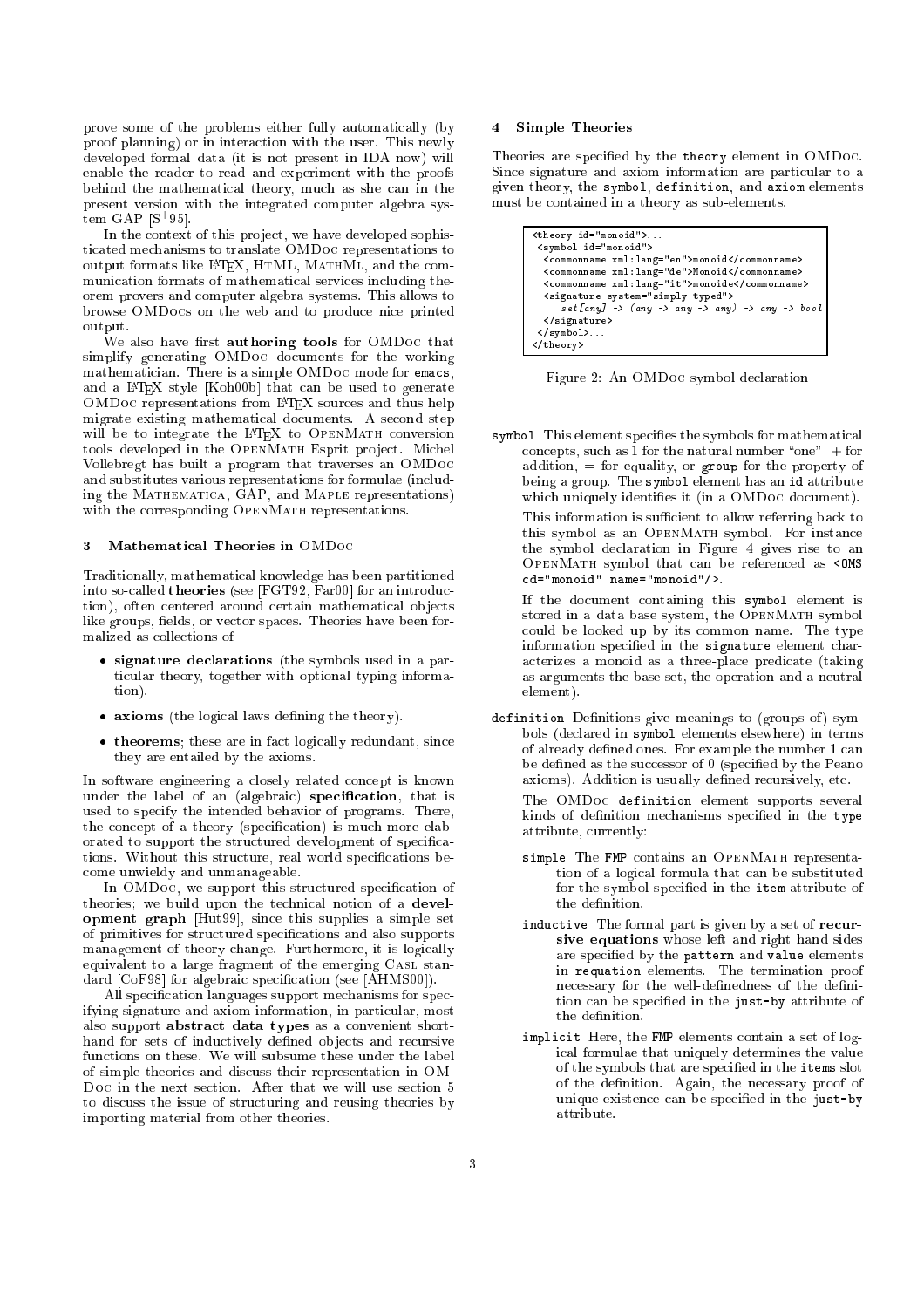prove some of the problems either fully automati
ally (by proof planning) or in interaction with the user. This newly developed formal data (it is not present in IDA now) will enable the reader to read and experiment with the proofs behind the mathemati
al theory, mu
h as she an in the present version with the integrated omputer algebra sys- $\rm \,tan \, \, GAP \,$  [S<sup>+</sup>95].

In the context of this project, we have developed sophisticated mechanisms to translate OMDoc representations to output formats like L<sup>AT</sup>EX, HTML, MATHML, and the communication formats of mathematical services including theorem provers and omputer algebra systems. This allows to browse OMDo
s on the web and to produ
e ni
e printed output.

We also have first **authoring tools** for OMDoc that simplify generating OMDoc documents for the working mathematician. There is a simple OMDoc mode for emacs, and a L<sup>A</sup>T<sub>E</sub>X style [Koh00b] that can be used to generate OMDo representations from LATEX sour
es and thus help migrate existing mathematical documents. A second step will be to integrate the ETEX to OPENMATH conversion tools developed in the OPENMATH Esprit project. Michel Vollebregt has built a program that traverses an OMDo and substitutes various representations for formulae (including the MATHEMATICA, GAP, and MAPLE representations) with the corresponding OPENMATH representations.

#### 3 Mathemati
al Theories in OMDo

Traditionally, mathemati
al knowledge has been partitioned into so-called theories (see [FGT92, Far00] for an introduction), often centered around certain mathematical objects like groups, fields, or vector spaces. Theories have been formalized as olle
tions of

- signature de
larations (the symbols used in a particular theory, together with optional typing information). tion).
- and laws (the logical characteristic theory).
- theorems; these are into the proposed; a community reduct they are entailed by the axioms.

In software engineering a closely related concept is known under the label of an (algebraic) specification, that is used to spe
ify the intended behavior of programs. There, the concept of a theory (specification) is much more elaborated to support the structured development of specifications. Without this structure, real world specifications beome unwieldy and unmanageable.

In OMDoc, we support this structured specification of theories; we build upon the technical notion of a development graph [Hut99], since this supplies a simple set of primitives for structured specifications and also supports management of theory change. Furthermore, it is logically equivalent to a large fragment of the emerging Casl standard [CoF98] for algebraic specification (see [AHMS00]).

All specification languages support mechanisms for specifying signature and axiom information, in particular, most also support abstract data types as a convenient shorthand for sets of inductively defined objects and recursive functions on these. We will subsume these under the label of simple theories and dis
uss their representation in OMto discuss the issue of structuring and reusing theories by importing material from other theories.

### 4 Simple Theories

Theories are specified by the theory element in OMDoc. Since signature and axiom information are particular to a given theory, the symbol, definition, and axiom elements must be ontained in a theory as sub-elements.

| <theory id="monoid"></theory>                                                                |
|----------------------------------------------------------------------------------------------|
| <symbol id="monoid"></symbol>                                                                |
| <commonname xml:lang="en">monoid</commonname>                                                |
| <commonname xml:lang="de">Monoid</commonname>                                                |
| <commonname xml:lang="it">monoide</commonname>                                               |
| <signature system="simply-typed"></signature>                                                |
| $set[any] \rightarrow (any \rightarrow any \rightarrow any) \rightarrow any \rightarrow box$ |
|                                                                                              |
| $\langle$ /symbol>                                                                           |
| $\langle$ /theory>                                                                           |

Figure 2: An OMDoc symbol declaration

symbol This element specification for symbols for mathematical form concepts, such as 1 for the natural number "one",  $+$  for addition,  $=$  for equality, or group for the property of being a group. The symbol element has an id attribute which uniquely identifies it (in a OMDoc document).

This information is sufficient to allow referring back to this symbol as an OPENMATH symbol. For instance the symbol de
laration in Figure 4 gives rise to an open between the reference that the second complete that the second complete that the second complete that is not a second complete the second complete that is a second complete that is a second complete that is a second c d="monoid" name="monoid"/>.

If the do
ument ontaining this symbol element is stored in a data base system, the OPENMATH symbol could be looked up by its common name. The type information specified in the signature element chara
terizes a monoid as a three-pla
e predi
ate (taking as arguments the base set, the operation and a neutral element).

definition  $\mathbb{R}^n$  definitions give measured to (groups of ) symmbols (de
lared in symbol elements elsewhere) in terms of already defined ones. For example the number 1 can be defined as the successor of 0 (specified by the Peano axioms). Addition is usually defined recursively, etc.

The OMDo definition element supports several kinds of definition mechanisms specified in the type attribute, urrently:

- simple The FMP  $\sim$  OpenMath representation and OpenMath representation and OpenMath representation and OpenMath representation and OpenMath representation and OpenMath representation and OpenMath representation and OpenMa tion of a logi
al formula that an be substituted for the symbol specified in the item attribute of the definition.
- indu
tive The formal part is given by a set of re
ursive equations whose left and right hand sides are specified by the pattern and value elements in requation elements. The termination proof necessary for the well-definedness of the definition can be specified in the just-by attribute of the definition.
- impli
it Here, the FMP elements ontain a set of logi
al formulae that uniquely determines the value of the symbols that are specified in the items slot of the definition. Again, the necessary proof of unique existence can be specified in the just-by attribute.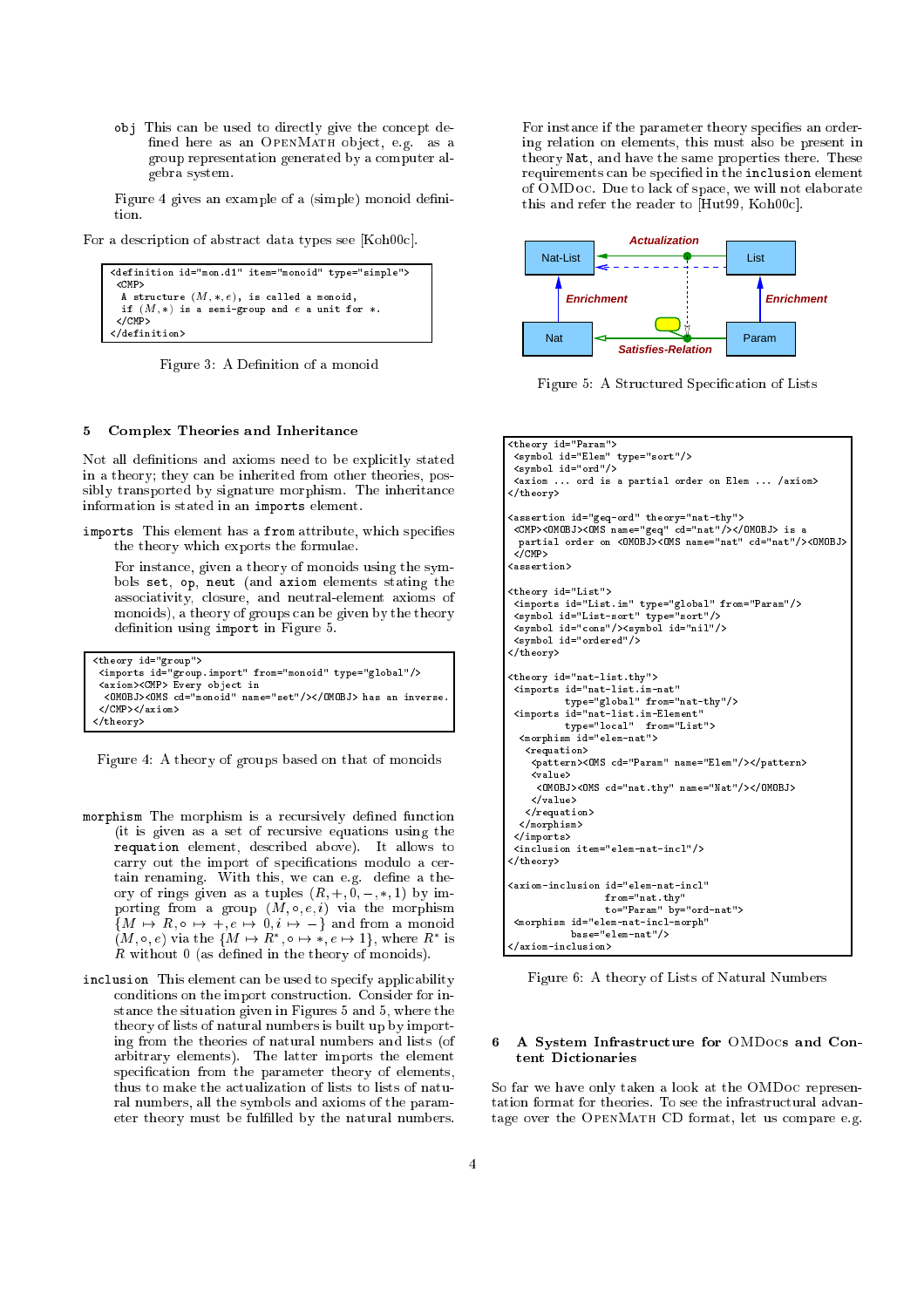obj This an be used to dire
tly give the on
ept de fined here as an OPENMATH object, e.g. as a group representation generated by a omputer algebra system.

Figure 4 gives an example of a (simple) monoid definition.

For a description of abstract data types see [Koh00c].

```
<definition id="mon.d1" item="monoid" type="simple">
 A structure (M, *, e), is called a monoid,
  if (M, *) is a semi-group and e a unit for *.
 \epsilon/\simMP></CMP>
</definition>
```
Figure 3: A Definition of a monoid

## 5 Complex Theories and Inheritan
e

Not all definitions and axioms need to be explicitly stated in a theory; they an be inherited from other theories, possibly transported by signature morphism. The inheritan
e information is stated in an imports element.

imports This element has a from attribute, whi
h spe
ies the theory whi
h exports the formulae.

For instan
e, given a theory of monoids using the symbols set, op, neut (and axiom elements stating the asso
iativity, losure, and neutral-element axioms of monoids), a theory of groups an be given by the theory definition using import in Figure 5.

| <theory id="group"></theory>                                      |
|-------------------------------------------------------------------|
| <imports from="monoid" id="group.import" type="global"></imports> |
| <axiom><cmp> Every object in</cmp></axiom>                        |
| <0M0BJ><0MS cd="monoid" name="set"/> 0M0BJ has an inverse.        |
|                                                                   |
| $\langle$ /theory>                                                |

Figure 4: A theory of groups based on that of monoids

- morphism The morphism is a re
ursively dened fun
tion (it is given as a set of re
ursive equations using the requation element, des
ribed above). It allows to carry out the import of specifications modulo a certain renaming. With this, we can e.g. define a theory of rings given as a tuples  $(R, +, 0, -, *, 1)$  by importing from a group  $(M, \circ, e, i)$  via the morphism  $\{M \mapsto R, \circ \mapsto +, e \mapsto 0, i \mapsto -\}$  and from a monoid  $(M, \circ, e)$  via the  $\{M \mapsto K \; , \circ \mapsto \ast, e \mapsto 1\}$ , where  $K$  is  $R$  without  $0$  (as defined in the theory of monoids).
- in the used to specific the used to specific the used to specific the used to specific the used to specific the conditions on the import construction. Consider for instan
e the situation given in Figures 5 and 5, where the theory of lists of natural numbers is built up by importing from the theories of natural numbers and lists (of arbitrary elements). The latter imports the element specification from the parameter theory of elements, thus to make the a
tualization of lists to lists of natural numbers, all the symbols and axioms of the parameter theory must be fulfilled by the natural numbers.

For instance if the parameter theory specifies an order-For instan
e if the parameter theory spe
ies an ordering relation on elements, this must also be present in theory Nat, and have the same properties there. These requirements can be specified in the inclusion element of OMDo
. Due to la
k of spa
e, we will not elaborate this and refer the reader to [Hut99, Koh00c].



Figure 5: A Structured Specification of Lists

```
<theory id="Param">
<symbol id="Elem" type="sort"/>
<symbol id="ord"/>
<axiom ... ord is a partial order on Elem ... /axiom>
</theory>
<assertion id="geq-ord" theory="nat-thy">
<CMP><OMOBJ><OMS name="geq" 
d="nat"/></OMOBJ> is a
 \langle/CMP>\overline{ }<assertion>
<theory id="List">
<imports id="List.im" type="global" from="Param"/>
 <symbol id="cons"/><symbol id="nil"/>
 <symbol id="ordered"/>
</theory>
<theory id="nat-list.thy">
<imports id="nat-list.im-nat"
          type="global" from="nat-thy"/>
 <imports id="nat-list.im-Element"
         type="lo
al" from="List">
 <morphism id="elem-nat">
   <pattern><OMS cd="Param" name="Elem"/></pattern>
    \overline{\mathsf{value}}<OMOBJ><OMS 
d="nat.thy" name="Nat"/></OMOBJ>
    \langle/value>
  \langle/requation>
  </morphism>
</imports>
 <in
lusion item="elem-nat-in
l"/>
</theory>
<axiom-in
lusion id="elem-nat-in
l"
                 --------------<br>to="Param" by="ord-nat">
<morphism id="elem-nat-in
l-morph"
           base="element"base="elem-nat"/>
```
Figure 6: A theory of Lists of Natural Numbers

</axiom-in
lusion>

#### 6 A System Infrastructure for OMDocs and Content Di
tionaries

So far we have only taken a look at the OMDoc representation format for theories. To see the infrastructural advantage over the OPENMATH CD format, let us compare e.g.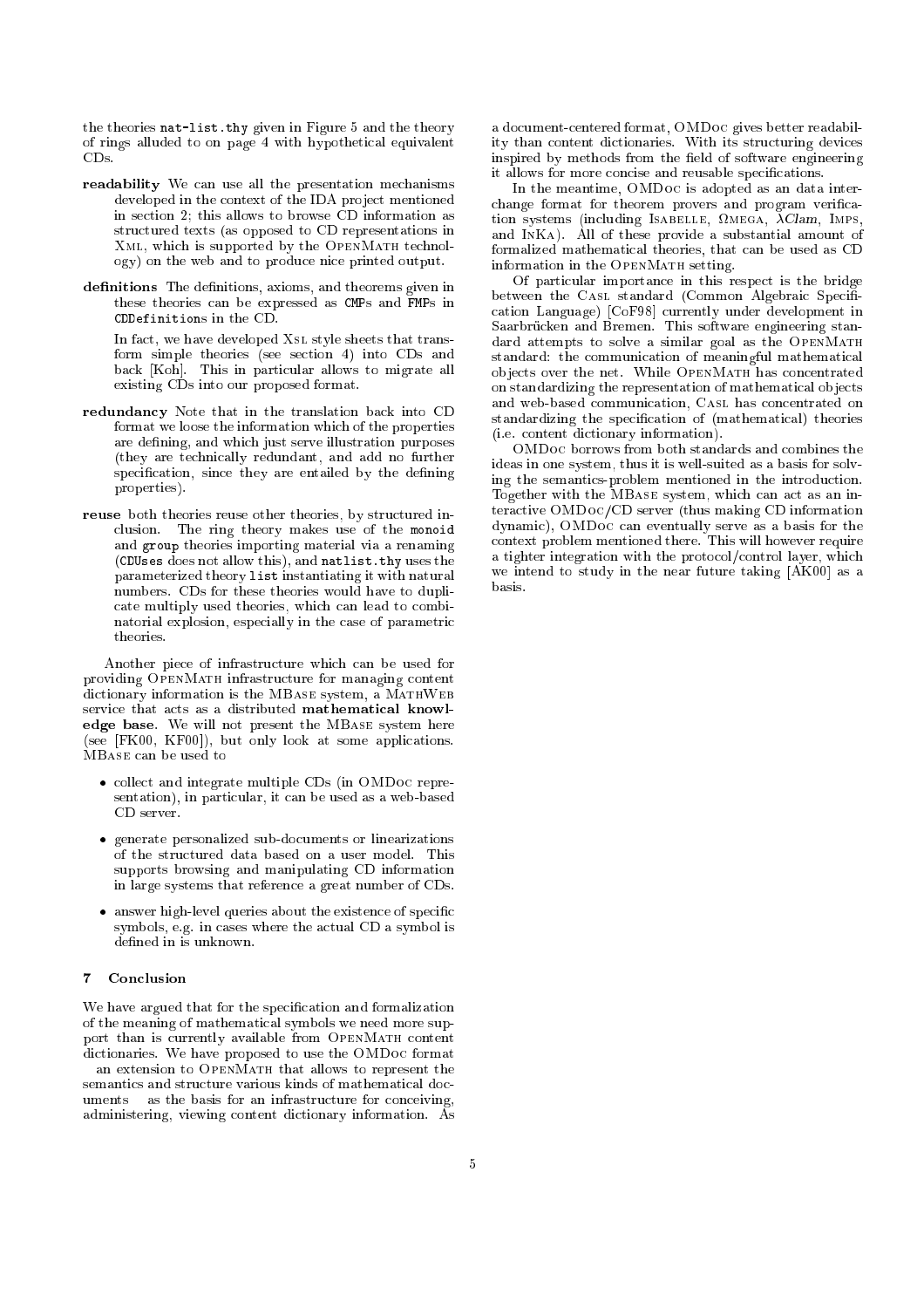the theories nat-list.thy given in Figure 5 and the theory of rings alluded to on page 4 with hypotheti
al equivalent  $CDs$ 

- readability We an use all the presentation me
hanisms developed in the context of the IDA project mentioned in se
tion 2; this allows to browse CD information as structured texts (as opposed to CD representations in XML, which is supported by the OPENMATH technology) on the web and to produ
e ni
e printed output.
- definitions The definitions, axioms, and theorems given in these theories an be expressed as CMPs and FMPs in CDDefinitions in the CD.

In fact, we have developed XsL style sheets that transform simple theories (see se
tion 4) into CDs and back [Koh]. This in particular allows to migrate all existing CDs into our proposed format.

- redundancy Note that in the translation back into CD format we loose the information whi
h of the properties are defining, and which just serve illustration purposes (they are te
hni
ally redundant, and add no further specification, since they are entailed by the defining properties).
- reuse both theories reuse other theories, by structured inclusion. The ring theory makes use of the monoid and group theories importing material via a renaming (CDUses does not allow this), and natlist.thy uses the parameterized theory list instantiating it with natural numbers. CDs for these theories would have to dupli ate multiply used theories, whi
h an lead to ombinatorial explosion, especially in the case of parametric theories.

Another pie
e of infrastru
ture whi
h an be used for providing OPENMATH infrastructure for managing content dictionary information is the MBASE system, a MATHWEB service that acts as a distributed mathematical knowledge base. We will not present the MBase system here  $(see [FK00, KF00]), but only look at some applications.$ MBase an be used to

- olle
t and integrate multiple CDs (in OMDo representation), in particular, it can be used as a web-based CD server.
- generate personalized sub-dominations or ments or linearizations of the stru
tured data based on a user model. This supports browsing and manipulating CD information in large systems that referen
e a great number of CDs.
- answer high-level queries about the existence of specific symbols, e.g. in cases where the actual CD a symbol is defined in is unknown.

#### $\overline{7}$ Conclusion

We have argued that for the specification and formalization of the meaning of mathemati
al symbols we need more support than is currently available from OPENMATH content dictionaries. We have proposed to use the OMDoc format { an extension to OpenMath that allows to represent the semantics and structure various kinds of mathematical doc $uments - as the basis for an infrastructure for conceiving,$ administering, viewing content dictionary information. As a do
umententered format, OMDo gives better readability than content dictionaries. With its structuring devices inspired by methods from the field of software engineering it allows for more concise and reusable specifications.

In the meantime, OMDo is adopted as an data inter change format for theorem provers and program verification systems (in
luding Isabelle, mega, Clam, Imps, and InKa). All of these provide a substantial amount of formalized mathematical theories, that can be used as CD information in the OPENMATH setting.

Of particular importance in this respect is the bridge between the CASL standard (Common Algebraic Specification Language) [CoF98] currently under development in Saarbrücken and Bremen. This software engineering standard attempts to solve a similar goal as the OPENMATH standard: the communication of meaningful mathematical objects over the net. While OPENMATH has concentrated on standardizing the representation of mathemati
al ob je
ts and web-based ommuni
ation, Casl has on
entrated on standardizing the specification of (mathematical) theories (i.e. ontent di
tionary information).

OMDo borrows from both standards and ombines the ideas in one system, thus it is well-suited as a basis for solving the semantics problem mentioned in the introduction. Together with the MBASE system, which can act as an interactive OMDoc/CD server (thus making CD information dynamic), OMDoc can eventually serve as a basis for the ontext problem mentioned there. This will however require a tighter integration with the protocol/control layer, which we intend to study in the near future taking  $[AK00]$  as a basis.